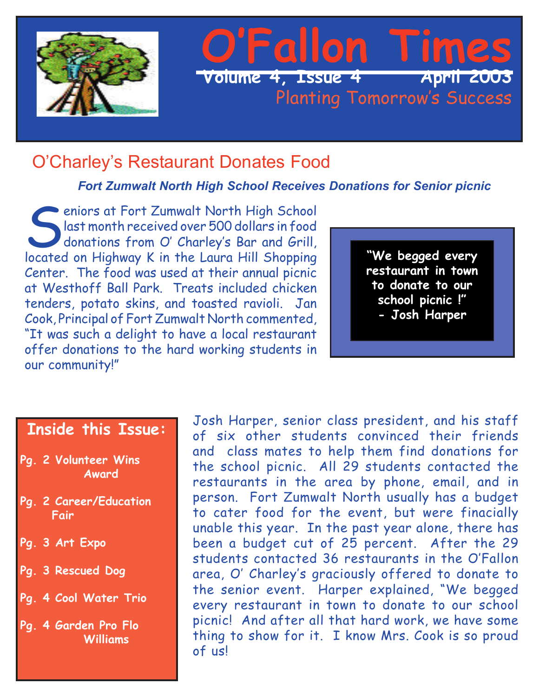

### O'Charley's Restaurant Donates Food

*Fort Zumwalt North High School Receives Donations for Senior picnic*

eniors at Fort Zumwalt North High School last month received over 500 dollars in food donations from O' Charley's Bar and Grill, located on Highway K in the Laura Hill Shopping Center. The food was used at their annual picnic at Westhoff Ball Park. Treats included chicken tenders, potato skins, and toasted ravioli. Jan Cook, Principal of Fort Zumwalt North commented, "It was such a delight to have a local restaurant offer donations to the hard working students in our community!"

**"We begged every restaurant in town to donate to our school picnic !" - Josh Harper**

### **Inside this Issue:**

- **Pg. 2 Volunteer Wins Award**
- **Pg. 2 Career/Education Fair**
- **Pg. 3 Art Expo**
- **Pg. 3 Rescued Dog**
- **Pg. 4 Cool Water Trio**
- **Pg. 4 Garden Pro Flo Williams**

Josh Harper, senior class president, and his staff of six other students convinced their friends and class mates to help them find donations for the school picnic. All 29 students contacted the restaurants in the area by phone, email, and in person. Fort Zumwalt North usually has a budget to cater food for the event, but were finacially unable this year. In the past year alone, there has been a budget cut of 25 percent. After the 29 students contacted 36 restaurants in the O'Fallon area, O' Charley's graciously offered to donate to the senior event. Harper explained, "We begged every restaurant in town to donate to our school picnic! And after all that hard work, we have some thing to show for it. I know Mrs. Cook is so proud of us!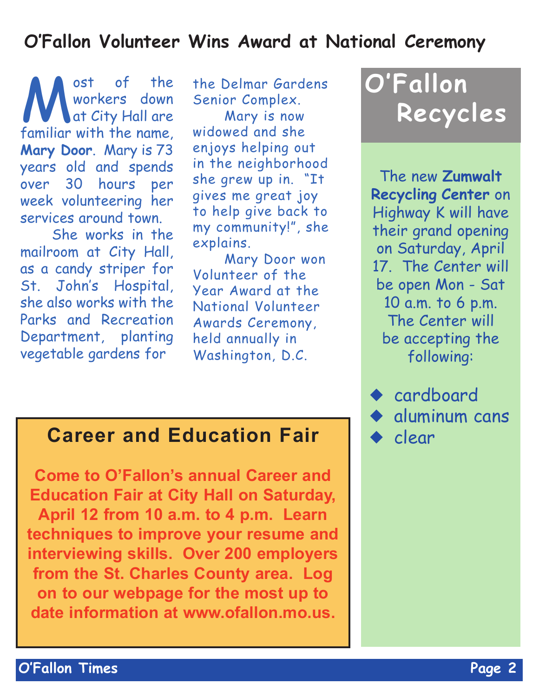## **O'Fallon Volunteer Wins Award at National Ceremony**

Workers down<br>at City Hall are<br>familiar with the name workers down at City Hall are familiar with the name, **Mary Door**. Mary is 73 years old and spends over 30 hours per week volunteering her services around town.

She works in the mailroom at City Hall, as a candy striper for St. John's Hospital, she also works with the Parks and Recreation Department, planting vegetable gardens for

the Delmar Gardens Senior Complex.

Mary is now widowed and she enjoys helping out in the neighborhood she grew up in. "It gives me great joy to help give back to my community!", she explains.

Mary Door won Volunteer of the Year Award at the National Volunteer Awards Ceremony, held annually in Washington, D.C.

# **O'Fallon Recycles**

The new **Zumwalt Recycling Center** on Highway K will have their grand opening on Saturday, April 17. The Center will be open Mon - Sat 10 a.m. to 6 p.m. The Center will be accepting the following:

◆ cardboard aluminum cans clear

## **Career and Education Fair**

**Come to O'Fallon's annual Career and Education Fair at City Hall on Saturday, April 12 from 10 a.m. to 4 p.m. Learn techniques to improve your resume and interviewing skills. Over 200 employers from the St. Charles County area. Log on to our webpage for the most up to date information at www.ofallon.mo.us.**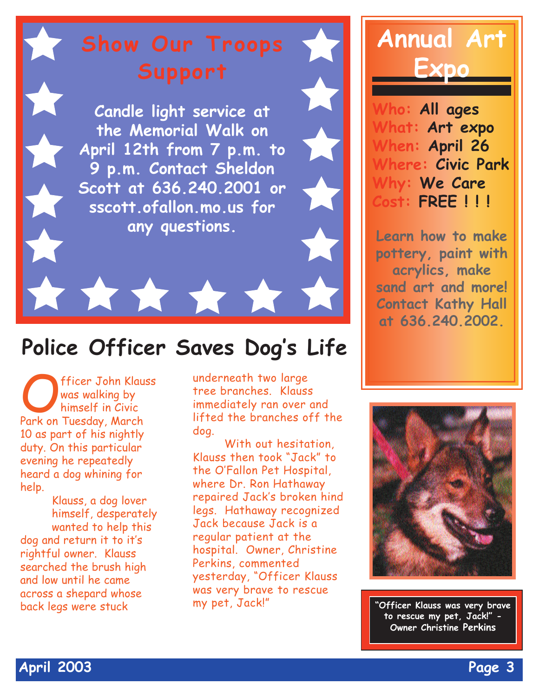**Candle light service at the Memorial Walk on April 12th from 7 p.m. to 9 p.m. Contact Sheldon Scott at 636.240.2001 or sscott.ofallon.mo.us for any questions.**

#### **Police Officer Saves Dog '<sup>s</sup> Life**

\*\*\*\*\*\*

fficer John Klauss was walking by himself in Civic Park on Tuesday, March 10 as part of his nightly duty. On this particular evening he repeatedly heard a dog whining for help.

Klauss, a dog lover himself, desperately wanted to help this dog and return it to it's rightful owner. Klauss searched the brush high and low until he came across a shepard whose

underneath two large tree branches. Klauss immediately ran over and lifted the branches off the dog.

With out hesitation, Klauss then took "Jack" to the O'Fallon Pet Hospital, where Dr. Ron Hathaway repaired Jack's broken hind legs. Hathaway recognized Jack because Jack is a regular patient at the hospital. Owner, Christine Perkins, commented yesterday, "Officer Klauss was very brave to rescue my pet, Jack!"



**Who: All ages What: Art expo When: April 26 Where: Civic Park Why: We Care Cost: FREE ! ! !**

**Learn how to make pottery, paint with acrylics, make sand art and more! Contact Kathy Hall at 636.240.2002.**



back legs were stuck **"West, Jack!"** "Officer Klauss was very brave **to rescue my pet, Jack!" - Owner Christine Perkins**